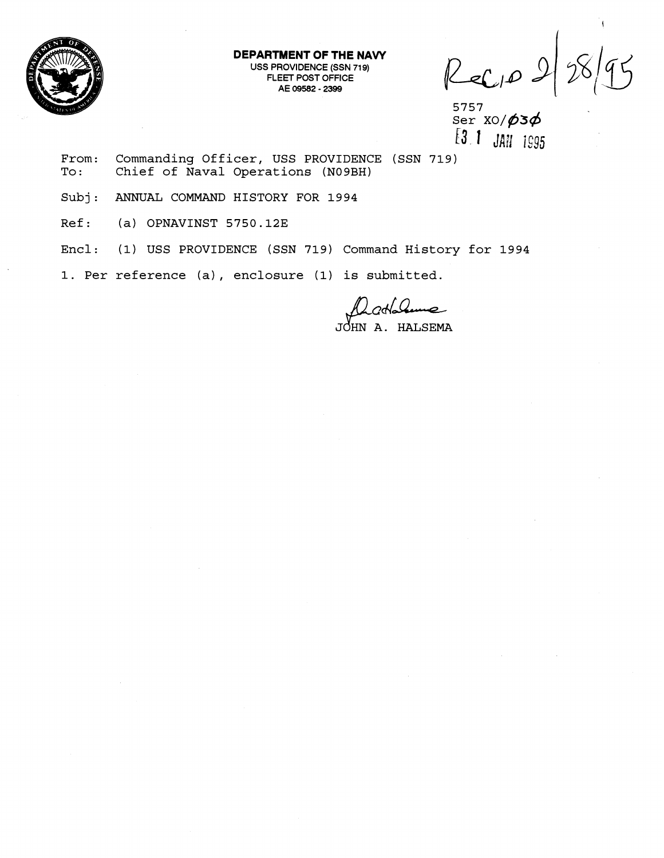

**DEPARTMENT OF THE NAVY**  USS PROVIDENCE (SSN 719) FLEET POST OFFICE AE 09582 - 2399

 $8/95$ Recip 2

5757<br> **From: Commanding Officer, USS PROVIDENCE (SSN 719)**<br>
To: Chief of Naval Operations (NO9BH) **To** : **Chief of Naval Operations (N09BH)** 

**Subj: ANNUAL COMMAND HISTORY FOR 1994** 

**Ref: (a) OPNAVINST 5750.123** 

**Encl: (1) USS PROVIDENCE (SSN 719) Command History for 1994** 

**1. Per reference (a), enclosure (1) is submitted.** 

20Hahume HALSEMA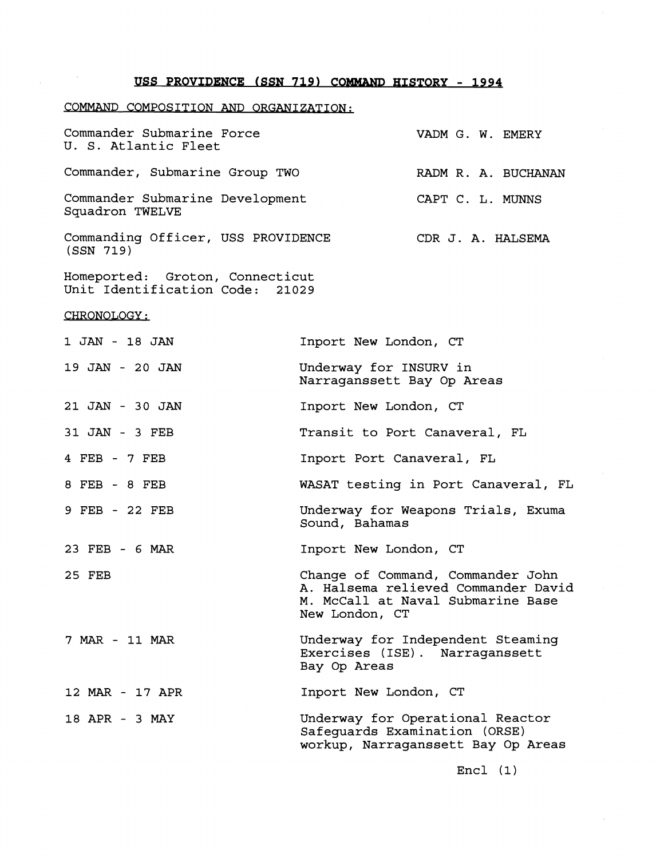## USS PROVIDENCE (SSN 719) COMMAND HISTORY - 1994

## COMMAND COMPOSITION **AND** ORGANIZATION:

| Commander Submarine Force<br>U. S. Atlantic Fleet  | VADM G. W. EMERY    |
|----------------------------------------------------|---------------------|
| Commander, Submarine Group TWO                     | RADM R. A. BUCHANAN |
| Commander Submarine Development<br>Squadron TWELVE | CAPT C. L. MUNNS    |
| Commanding Officer, USS PROVIDENCE<br>(SSN 719)    | CDR J. A. HALSEMA   |

Homeported: Groton, Connecticut Unit Identification Code: **21029** 

CHRONOLOGY:

 $\sim 10^{11}$ 

| 1 JAN - 18 JAN  | Inport New London, CT                                                                                                           |
|-----------------|---------------------------------------------------------------------------------------------------------------------------------|
| 19 JAN - 20 JAN | Underway for INSURV in<br>Narraganssett Bay Op Areas                                                                            |
| 21 JAN - 30 JAN | Inport New London, CT                                                                                                           |
| 31 JAN - 3 FEB  | Transit to Port Canaveral, FL                                                                                                   |
| 4 FEB - 7 FEB   | Inport Port Canaveral, FL                                                                                                       |
| 8 FEB - 8 FEB   | WASAT testing in Port Canaveral, FL                                                                                             |
| 9 FEB - 22 FEB  | Underway for Weapons Trials, Exuma<br>Sound, Bahamas                                                                            |
| 23 FEB - 6 MAR  | Inport New London, CT                                                                                                           |
| 25 FEB          | Change of Command, Commander John<br>A. Halsema relieved Commander David<br>M. McCall at Naval Submarine Base<br>New London, CT |
| 7 MAR - 11 MAR  | Underway for Independent Steaming<br>Exercises (ISE). Narraganssett<br>Bay Op Areas                                             |
| 12 MAR - 17 APR | Inport New London, CT                                                                                                           |
| 18 APR - 3 MAY  | Underway for Operational Reactor<br>Safeguards Examination (ORSE)<br>workup, Narraganssett Bay Op Areas                         |

Encl **(1)**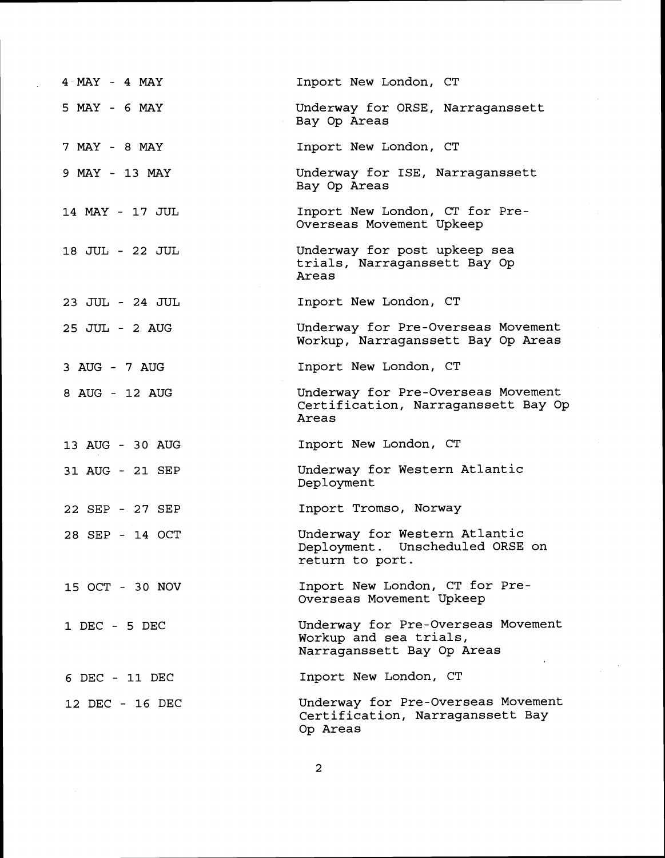| 4 MAY - 4 MAY   | Inport New London, CT                                                                      |
|-----------------|--------------------------------------------------------------------------------------------|
| 5 MAY - 6 MAY   | Underway for ORSE, Narraganssett<br>Bay Op Areas                                           |
| 7 MAY - 8 MAY   | Inport New London, CT                                                                      |
| 9 MAY - 13 MAY  | Underway for ISE, Narraganssett<br>Bay Op Areas                                            |
| 14 MAY - 17 JUL | Inport New London, CT for Pre-<br>Overseas Movement Upkeep                                 |
| 18 JUL - 22 JUL | Underway for post upkeep sea<br>trials, Narraganssett Bay Op<br>Areas                      |
| 23 JUL - 24 JUL | Inport New London, CT                                                                      |
| 25 JUL - 2 AUG  | Underway for Pre-Overseas Movement<br>Workup, Narraganssett Bay Op Areas                   |
| 3 AUG - 7 AUG   | Inport New London, CT                                                                      |
| 8 AUG - 12 AUG  | Underway for Pre-Overseas Movement<br>Certification, Narraganssett Bay Op<br>Areas         |
| 13 AUG - 30 AUG | Inport New London, CT                                                                      |
| 31 AUG - 21 SEP | Underway for Western Atlantic<br>Deployment                                                |
| 22 SEP - 27 SEP | Inport Tromso, Norway                                                                      |
| 28 SEP - 14 OCT | Underway for Western Atlantic<br>Deployment. Unscheduled ORSE on<br>return to port.        |
| 15 OCT - 30 NOV | Inport New London, CT for Pre-<br>Overseas Movement Upkeep                                 |
| 1 DEC - 5 DEC   | Underway for Pre-Overseas Movement<br>Workup and sea trials,<br>Narraganssett Bay Op Areas |
| 6 DEC - 11 DEC  | Inport New London, CT                                                                      |
| 12 DEC - 16 DEC | Underway for Pre-Overseas Movement<br>Certification, Narraganssett Bay<br>Op Areas         |